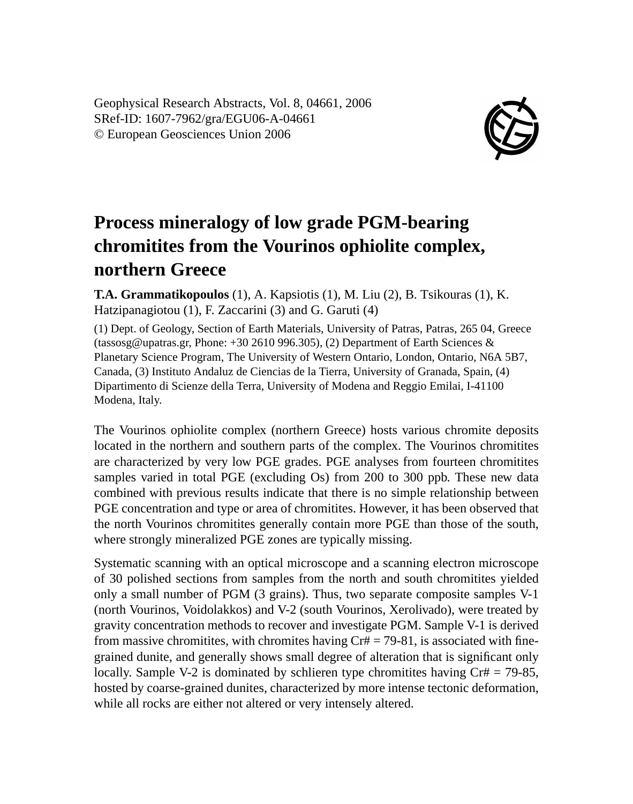Geophysical Research Abstracts, Vol. 8, 04661, 2006 SRef-ID: 1607-7962/gra/EGU06-A-04661 © European Geosciences Union 2006



## **Process mineralogy of low grade PGM-bearing chromitites from the Vourinos ophiolite complex, northern Greece**

**T.A. Grammatikopoulos** (1), A. Kapsiotis (1), M. Liu (2), B. Tsikouras (1), K. Hatzipanagiotou (1), F. Zaccarini (3) and G. Garuti (4)

(1) Dept. of Geology, Section of Earth Materials, University of Patras, Patras, 265 04, Greece (tassosg@upatras.gr, Phone: +30 2610 996.305), (2) Department of Earth Sciences & Planetary Science Program, The University of Western Ontario, London, Ontario, N6A 5B7, Canada, (3) Instituto Andaluz de Ciencias de la Tierra, University of Granada, Spain, (4) Dipartimento di Scienze della Terra, University of Modena and Reggio Emilai, I-41100 Modena, Italy.

The Vourinos ophiolite complex (northern Greece) hosts various chromite deposits located in the northern and southern parts of the complex. The Vourinos chromitites are characterized by very low PGE grades. PGE analyses from fourteen chromitites samples varied in total PGE (excluding Os) from 200 to 300 ppb. These new data combined with previous results indicate that there is no simple relationship between PGE concentration and type or area of chromitites. However, it has been observed that the north Vourinos chromitites generally contain more PGE than those of the south, where strongly mineralized PGE zones are typically missing.

Systematic scanning with an optical microscope and a scanning electron microscope of 30 polished sections from samples from the north and south chromitites yielded only a small number of PGM (3 grains). Thus, two separate composite samples V-1 (north Vourinos, Voidolakkos) and V-2 (south Vourinos, Xerolivado), were treated by gravity concentration methods to recover and investigate PGM. Sample V-1 is derived from massive chromitites, with chromites having  $Cr# = 79-81$ , is associated with finegrained dunite, and generally shows small degree of alteration that is significant only locally. Sample V-2 is dominated by schlieren type chromitites having  $Cr# = 79-85$ , hosted by coarse-grained dunites, characterized by more intense tectonic deformation, while all rocks are either not altered or very intensely altered.